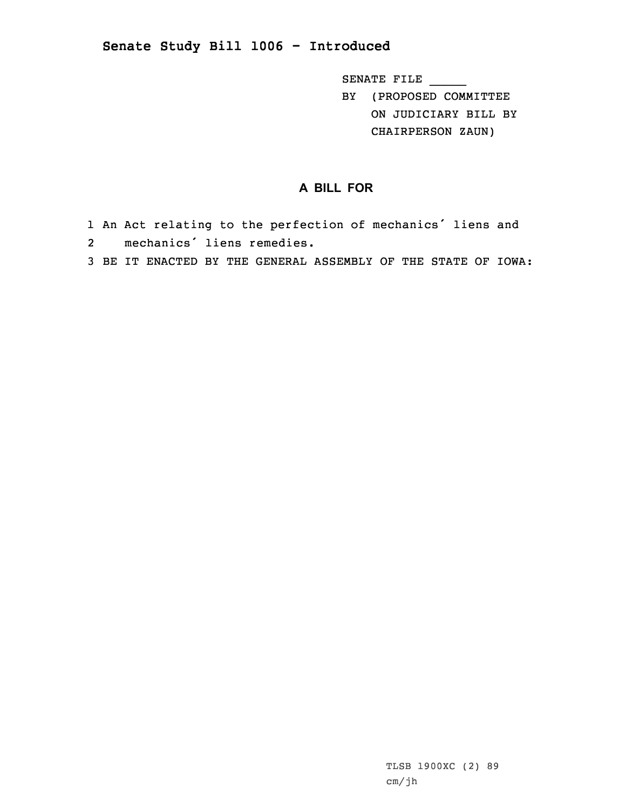## **Senate Study Bill 1006 - Introduced**

SENATE FILE \_\_\_\_\_

BY (PROPOSED COMMITTEE ON JUDICIARY BILL BY CHAIRPERSON ZAUN)

## **A BILL FOR**

- 1 An Act relating to the perfection of mechanics' liens and 2mechanics' liens remedies.
- 3 BE IT ENACTED BY THE GENERAL ASSEMBLY OF THE STATE OF IOWA: